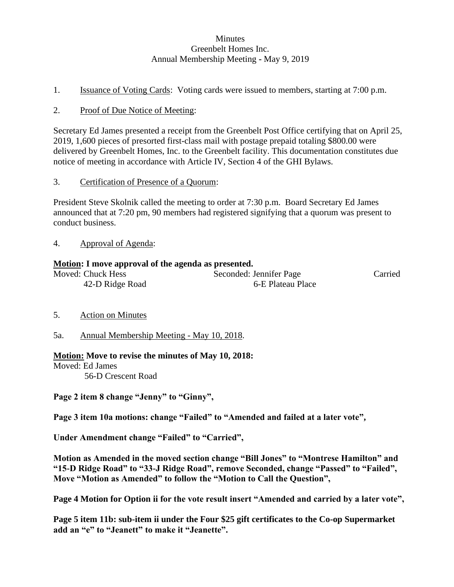### **Minutes** Greenbelt Homes Inc. Annual Membership Meeting **-** May 9, 2019

1. Issuance of Voting Cards: Voting cards were issued to members, starting at 7:00 p.m.

### 2. Proof of Due Notice of Meeting:

Secretary Ed James presented a receipt from the Greenbelt Post Office certifying that on April 25, 2019, 1,600 pieces of presorted first-class mail with postage prepaid totaling \$800.00 were delivered by Greenbelt Homes, Inc. to the Greenbelt facility. This documentation constitutes due notice of meeting in accordance with Article IV, Section 4 of the GHI Bylaws.

3. Certification of Presence of a Quorum:

President Steve Skolnik called the meeting to order at 7:30 p.m. Board Secretary Ed James announced that at 7:20 pm, 90 members had registered signifying that a quorum was present to conduct business.

4. Approval of Agenda:

### **Motion: I move approval of the agenda as presented.**

| Moved: Chuck Hess | Seconded: Jennifer Page | Carried |
|-------------------|-------------------------|---------|
| 42-D Ridge Road   | 6-E Plateau Place       |         |

- 5. Action on Minutes
- 5a. Annual Membership Meeting May 10, 2018.

### **Motion: Move to revise the minutes of May 10, 2018:**

Moved: Ed James 56-D Crescent Road

**Page 2 item 8 change "Jenny" to "Ginny",**

**Page 3 item 10a motions: change "Failed" to "Amended and failed at a later vote",**

**Under Amendment change "Failed" to "Carried",** 

**Motion as Amended in the moved section change "Bill Jones" to "Montrese Hamilton" and "15-D Ridge Road" to "33-J Ridge Road", remove Seconded, change "Passed" to "Failed", Move "Motion as Amended" to follow the "Motion to Call the Question",**

**Page 4 Motion for Option ii for the vote result insert "Amended and carried by a later vote",**

**Page 5 item 11b: sub-item ii under the Four \$25 gift certificates to the Co-op Supermarket add an "e" to "Jeanett" to make it "Jeanette".**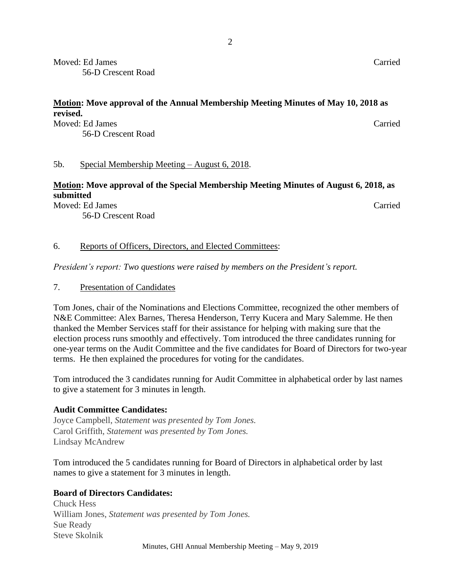Moved: Ed James Carried 56-D Crescent Road

### **Motion: Move approval of the Annual Membership Meeting Minutes of May 10, 2018 as revised.**

Moved: Ed James Carried 56-D Crescent Road

### 5b. Special Membership Meeting – August 6, 2018.

### **Motion: Move approval of the Special Membership Meeting Minutes of August 6, 2018, as submitted**

Moved: Ed James Carried

56-D Crescent Road

### 6. Reports of Officers, Directors, and Elected Committees:

*President's report: Two questions were raised by members on the President's report.*

7. Presentation of Candidates

Tom Jones, chair of the Nominations and Elections Committee, recognized the other members of N&E Committee: Alex Barnes, Theresa Henderson, Terry Kucera and Mary Salemme. He then thanked the Member Services staff for their assistance for helping with making sure that the election process runs smoothly and effectively. Tom introduced the three candidates running for one-year terms on the Audit Committee and the five candidates for Board of Directors for two-year terms. He then explained the procedures for voting for the candidates.

Tom introduced the 3 candidates running for Audit Committee in alphabetical order by last names to give a statement for 3 minutes in length.

### **Audit Committee Candidates:**

Joyce Campbell, *Statement was presented by Tom Jones.* Carol Griffith, *Statement was presented by Tom Jones.* Lindsay McAndrew

Tom introduced the 5 candidates running for Board of Directors in alphabetical order by last names to give a statement for 3 minutes in length.

### **Board of Directors Candidates:**

Chuck Hess William Jones, *Statement was presented by Tom Jones.* Sue Ready Steve Skolnik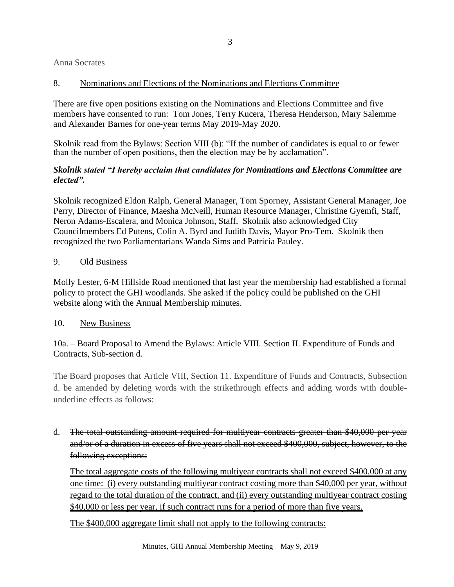Anna Socrates

### 8. Nominations and Elections of the Nominations and Elections Committee

There are five open positions existing on the Nominations and Elections Committee and five members have consented to run: Tom Jones, Terry Kucera, Theresa Henderson, Mary Salemme and Alexander Barnes for one-year terms May 2019-May 2020.

Skolnik read from the Bylaws: Section VIII (b): "If the number of candidates is equal to or fewer than the number of open positions, then the election may be by acclamation".

### *Skolnik stated "I hereby acclaim that candidates for Nominations and Elections Committee are elected".*

Skolnik recognized Eldon Ralph, General Manager, Tom Sporney, Assistant General Manager, Joe Perry, Director of Finance, Maesha McNeill, Human Resource Manager, Christine Gyemfi, Staff, Neron Adams-Escalera, and Monica Johnson, Staff. Skolnik also acknowledged City Councilmembers Ed Putens, Colin A. Byrd and Judith Davis, Mayor Pro-Tem. Skolnik then recognized the two Parliamentarians Wanda Sims and Patricia Pauley.

### 9. Old Business

Molly Lester, 6-M Hillside Road mentioned that last year the membership had established a formal policy to protect the GHI woodlands. She asked if the policy could be published on the GHI website along with the Annual Membership minutes.

### 10. New Business

10a. – Board Proposal to Amend the Bylaws: Article VIII. Section II. Expenditure of Funds and Contracts, Sub-section d.

The Board proposes that Article VIII, Section 11. Expenditure of Funds and Contracts, Subsection d. be amended by deleting words with the strikethrough effects and adding words with doubleunderline effects as follows:

d. The total outstanding amount required for multiyear contracts greater than \$40,000 per year and/or of a duration in excess of five years shall not exceed \$400,000, subject, however, to the following exceptions:

The total aggregate costs of the following multiyear contracts shall not exceed \$400,000 at any one time: (i) every outstanding multiyear contract costing more than \$40,000 per year, without regard to the total duration of the contract, and (ii) every outstanding multiyear contract costing \$40,000 or less per year, if such contract runs for a period of more than five years.

The \$400,000 aggregate limit shall not apply to the following contracts: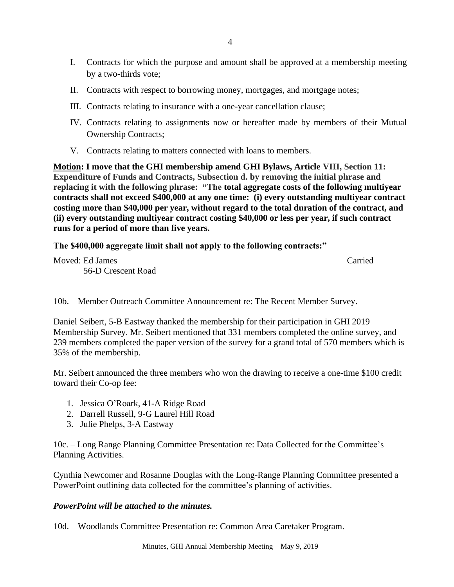- I. Contracts for which the purpose and amount shall be approved at a membership meeting by a two-thirds vote;
- II. Contracts with respect to borrowing money, mortgages, and mortgage notes;
- III. Contracts relating to insurance with a one-year cancellation clause;
- IV. Contracts relating to assignments now or hereafter made by members of their Mutual Ownership Contracts;
- V. Contracts relating to matters connected with loans to members.

**Motion: I move that the GHI membership amend GHI Bylaws, Article VIII, Section 11: Expenditure of Funds and Contracts, Subsection d. by removing the initial phrase and replacing it with the following phrase: "The total aggregate costs of the following multiyear contracts shall not exceed \$400,000 at any one time: (i) every outstanding multiyear contract costing more than \$40,000 per year, without regard to the total duration of the contract, and (ii) every outstanding multiyear contract costing \$40,000 or less per year, if such contract runs for a period of more than five years.** 

### **The \$400,000 aggregate limit shall not apply to the following contracts:"**

Moved: Ed James Carried 56-D Crescent Road

10b. – Member Outreach Committee Announcement re: The Recent Member Survey.

Daniel Seibert, 5-B Eastway thanked the membership for their participation in GHI 2019 Membership Survey. Mr. Seibert mentioned that 331 members completed the online survey, and 239 members completed the paper version of the survey for a grand total of 570 members which is 35% of the membership.

Mr. Seibert announced the three members who won the drawing to receive a one-time \$100 credit toward their Co-op fee:

- 1. Jessica O'Roark, 41-A Ridge Road
- 2. Darrell Russell, 9-G Laurel Hill Road
- 3. Julie Phelps, 3-A Eastway

10c. – Long Range Planning Committee Presentation re: Data Collected for the Committee's Planning Activities.

Cynthia Newcomer and Rosanne Douglas with the Long-Range Planning Committee presented a PowerPoint outlining data collected for the committee's planning of activities.

### *PowerPoint will be attached to the minutes.*

10d. – Woodlands Committee Presentation re: Common Area Caretaker Program.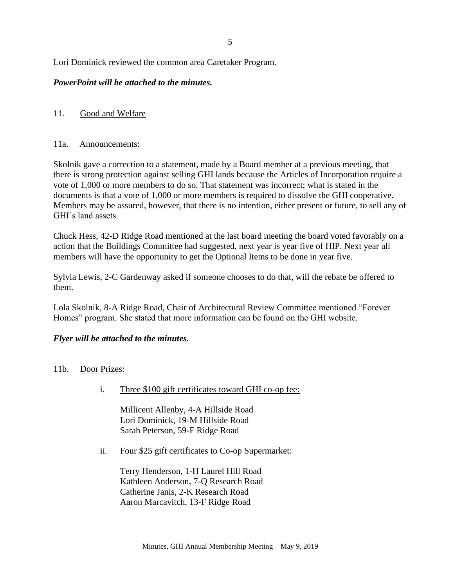Lori Dominick reviewed the common area Caretaker Program.

### *PowerPoint will be attached to the minutes.*

### 11. Good and Welfare

### 11a. Announcements:

Skolnik gave a correction to a statement, made by a Board member at a previous meeting, that there is strong protection against selling GHI lands because the Articles of Incorporation require a vote of 1,000 or more members to do so. That statement was incorrect; what is stated in the documents is that a vote of 1,000 or more members is required to dissolve the GHI cooperative. Members may be assured, however, that there is no intention, either present or future, to sell any of GHI's land assets.

Chuck Hess, 42-D Ridge Road mentioned at the last board meeting the board voted favorably on a action that the Buildings Committee had suggested, next year is year five of HIP. Next year all members will have the opportunity to get the Optional Items to be done in year five.

Sylvia Lewis, 2-C Gardenway asked if someone chooses to do that, will the rebate be offered to them.

Lola Skolnik, 8-A Ridge Road, Chair of Architectural Review Committee mentioned "Forever Homes" program. She stated that more information can be found on the GHI website.

### *Flyer will be attached to the minutes.*

### 11b. Door Prizes:

i. Three \$100 gift certificates toward GHI co-op fee:

Millicent Allenby, 4-A Hillside Road Lori Dominick, 19-M Hillside Road Sarah Peterson, 59-F Ridge Road

ii. Four \$25 gift certificates to Co-op Supermarket:

Terry Henderson, 1-H Laurel Hill Road Kathleen Anderson, 7-Q Research Road Catherine Janis, 2-K Research Road Aaron Marcavitch, 13-F Ridge Road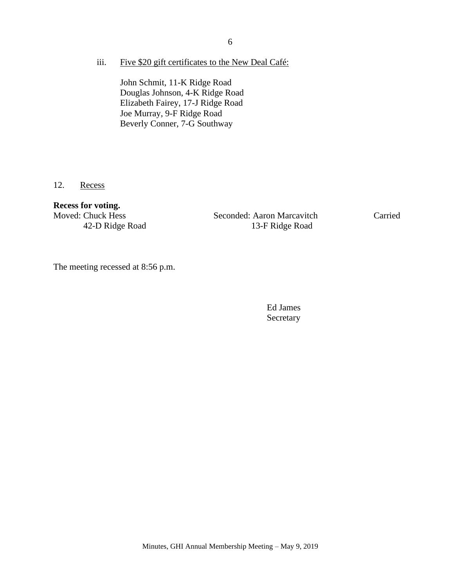iii. Five \$20 gift certificates to the New Deal Café:

John Schmit, 11-K Ridge Road Douglas Johnson, 4-K Ridge Road Elizabeth Fairey, 17-J Ridge Road Joe Murray, 9-F Ridge Road Beverly Conner, 7-G Southway

12. Recess

### **Recess for voting.**

Moved: Chuck Hess Seconded: Aaron Marcavitch Carried 42-D Ridge Road 13-F Ridge Road

The meeting recessed at 8:56 p.m.

Ed James Secretary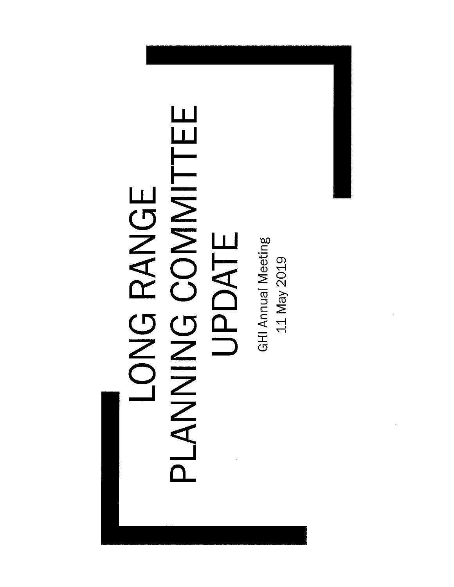## LONG RANGE<br>PLANING COMMITTEE UPDATE

**GHI Annual Meeting** 11 May 2019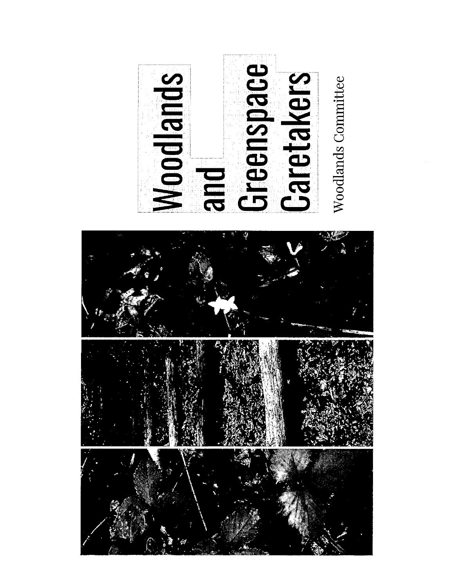

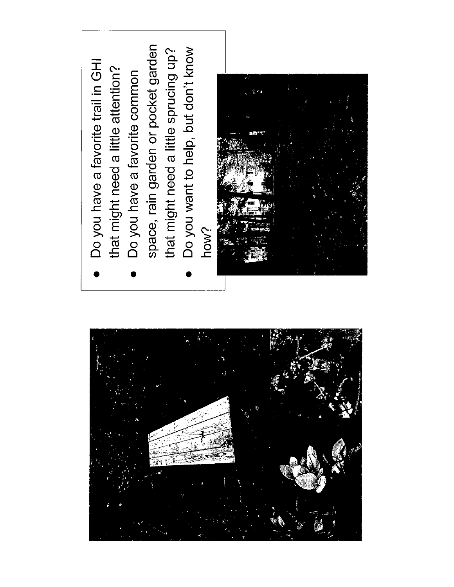

- Do you have a favorite trail in GHI that might need a little attention?
	- Do you have a favorite common
- space, rain garden or pocket garden Do you want to help, but don't know that might need a little sprucing up?
	- how?

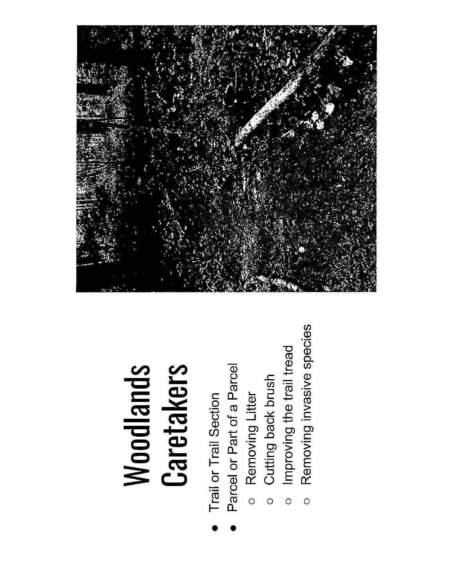### **Woodlands**<br>Caretakers

- 
- Trail or Trail Section<br>Parcel or Part of a Parcel
	-
	- o Removing Litter<br>o Cutting back brush
- Improving the trail tread  $\circ$
- Removing invasive species  $\circ$

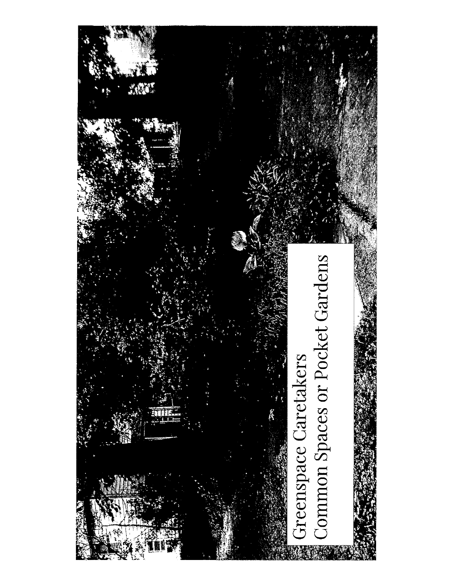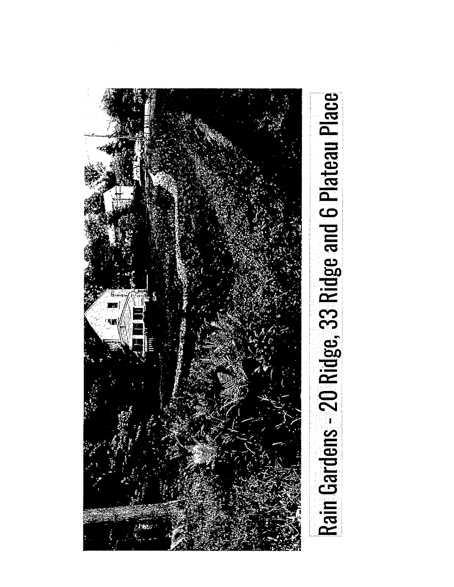

# Rain Gardens - 20 Ridge, 33 Ridge and 6 Plateau Place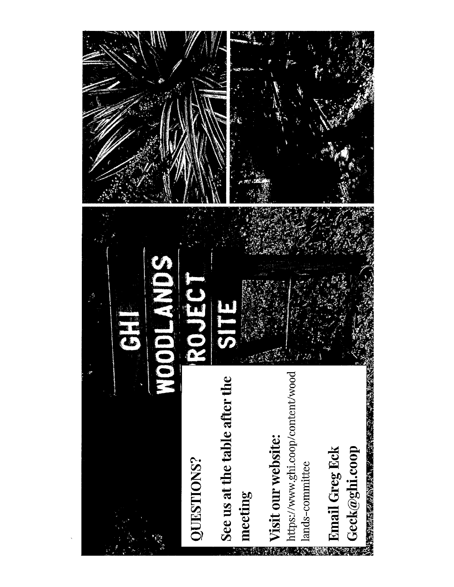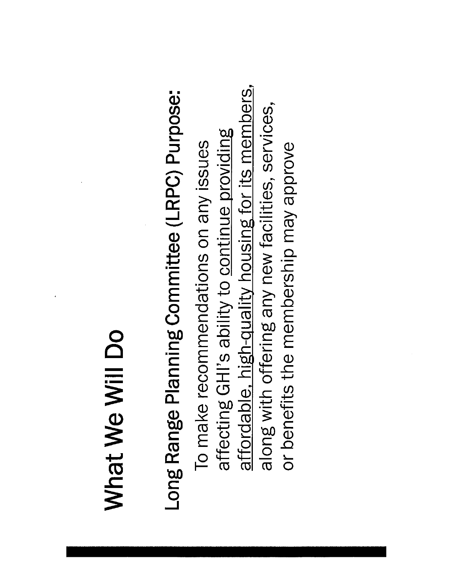## What We Will Do

# Long Range Planning Committee (LRPC) Purpose:

affordable, high-quality housing for its members, along with offering any new facilities, services, affecting GHI's ability to continue providing To make recommendations on any issues or benefits the membership may approve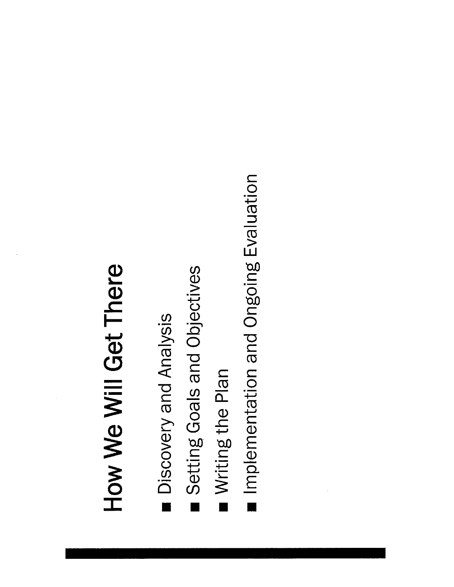# How We Will Get There

- Discovery and Analysis
- Setting Goals and Objectives
- Writing the Plan
- nplementation and Ongoing Evaluation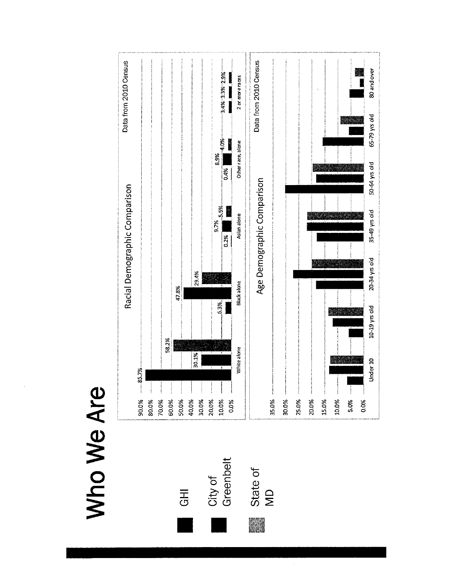### Who We Are

 $\overline{d}$ 

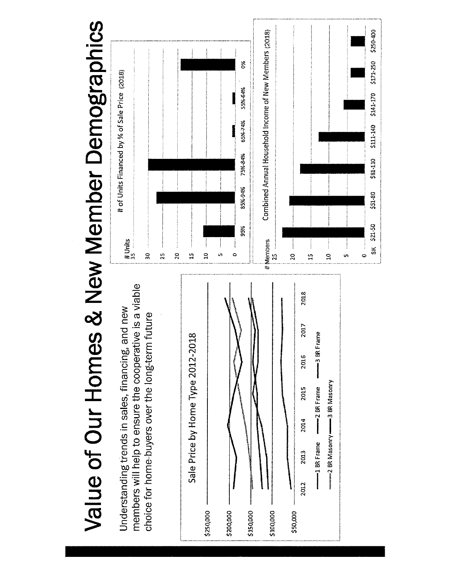Value of Our Homes & New Member Demographics

members will help to ensure the cooperative is a viable Understanding trends in sales, financing, and new choice for home-buyers over the long-term future



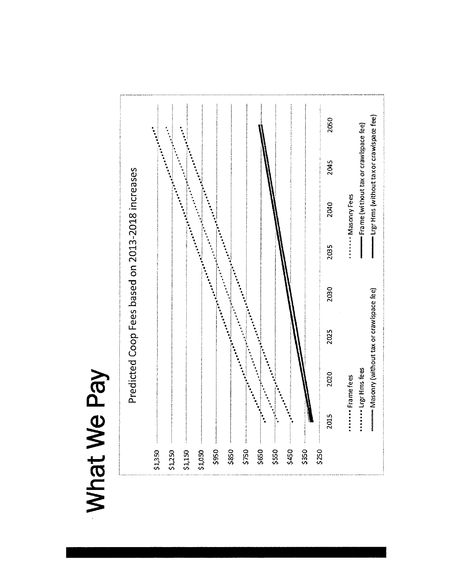### What We Pay

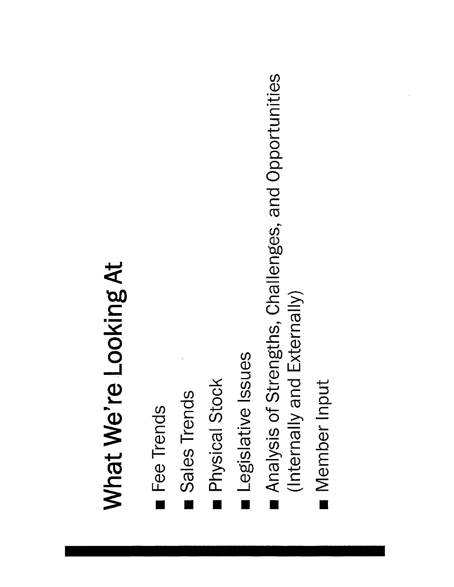# What We're Looking At

- Fee Trends
- Sales Trends
- Physical Stock
- Legislative Issues
- Analysis of Strengths, Challenges, and Opportunities (Internally and Externally)
- Member Input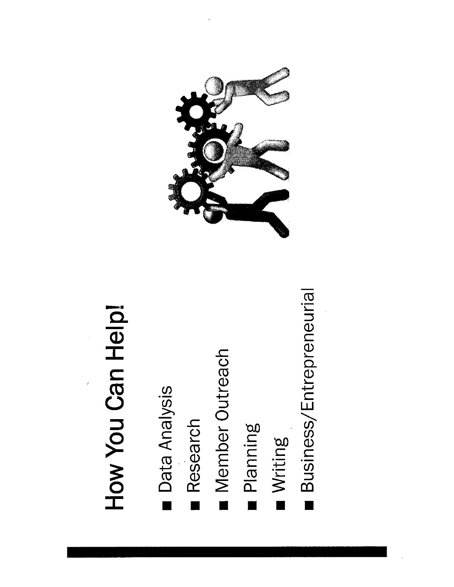# How You Can Help!

- Data Analysis
- Research
- I Member Outreach
- Planning
- Writing
- **Business/Entrepreneurial**